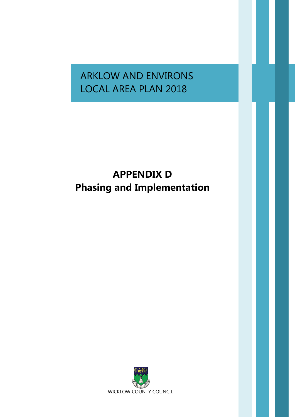# ARKLOW AND ENVIRONS LOCAL AREA PLAN 2018

# **APPENDIX D Phasing and Implementation**

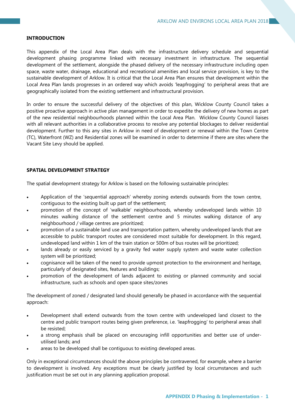#### **INTRODUCTION**

This appendix of the Local Area Plan deals with the infrastructure delivery schedule and sequential development phasing programme linked with necessary investment in infrastructure. The sequential development of the settlement, alongside the phased delivery of the necessary infrastructure including open space, waste water, drainage, educational and recreational amenities and local service provision, is key to the sustainable development of Arklow. It is critical that the Local Area Plan ensures that development within the Local Area Plan lands progresses in an ordered way which avoids 'leapfrogging' to peripheral areas that are geographically isolated from the existing settlement and infrastructural provision.

In order to ensure the successful delivery of the objectives of this plan, Wicklow County Council takes a positive proactive approach in active plan management in order to expedite the delivery of new homes as part of the new residential neighbourhoods planned within the Local Area Plan. Wicklow County Council liaises with all relevant authorities in a collaborative process to resolve any potential blockages to deliver residential development. Further to this any sites in Arklow in need of development or renewal within the Town Centre (TC), Waterfront (WZ) and Residential zones will be examined in order to determine if there are sites where the Vacant Site Levy should be applied.

## **SPATIAL DEVELOPMENT STRATEGY**

The spatial development strategy for Arklow is based on the following sustainable principles:

- Application of the 'sequential approach' whereby zoning extends outwards from the town centre, contiguous to the existing built up part of the settlement;
- promotion of the concept of 'walkable' neighbourhoods, whereby undeveloped lands within 10 minutes walking distance of the settlement centre and 5 minutes walking distance of any neighbourhood / village centres are prioritized;
- promotion of a sustainable land use and transportation pattern, whereby undeveloped lands that are accessible to public transport routes are considered most suitable for development. In this regard, undeveloped land within 1 km of the train station or 500m of bus routes will be prioritized;
- lands already or easily serviced by a gravity fed water supply system and waste water collection system will be prioritized;
- cognisance will be taken of the need to provide upmost protection to the environment and heritage, particularly of designated sites, features and buildings;
- promotion of the development of lands adjacent to existing or planned community and social infrastructure, such as schools and open space sites/zones

The development of zoned / designated land should generally be phased in accordance with the sequential approach:

- Development shall extend outwards from the town centre with undeveloped land closest to the centre and public transport routes being given preference, i.e. 'leapfrogging' to peripheral areas shall be resisted;
- a strong emphasis shall be placed on encouraging infill opportunities and better use of underutilised lands; and
- areas to be developed shall be contiguous to existing developed areas.

Only in exceptional circumstances should the above principles be contravened, for example, where a barrier to development is involved. Any exceptions must be clearly justified by local circumstances and such justification must be set out in any planning application proposal.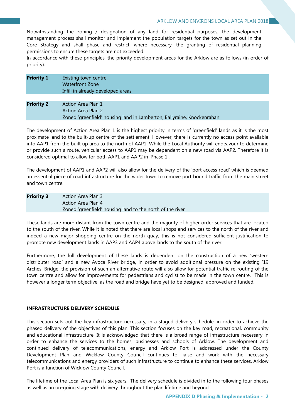Notwithstanding the zoning / designation of any land for residential purposes, the development management process shall monitor and implement the population targets for the town as set out in the Core Strategy and shall phase and restrict, where necessary, the granting of residential planning permissions to ensure these targets are not exceeded.

In accordance with these principles, the priority development areas for the Arklow are as follows (in order of priority):

| <b>Priority 1</b> | Existing town centre<br><b>Waterfront Zone</b><br>Infill in already developed areas                                |
|-------------------|--------------------------------------------------------------------------------------------------------------------|
|                   |                                                                                                                    |
| <b>Priority 2</b> | Action Area Plan 1<br>Action Area Plan 2<br>Zoned 'greenfield' housing land in Lamberton, Ballyraine, Knockenrahan |

The development of Action Area Plan 1 is the highest priority in terms of 'greenfield' lands as it is the most proximate land to the built-up centre of the settlement. However, there is currently no access point available into AAP1 from the built up area to the north of AAP1. While the Local Authority will endeavour to determine or provide such a route, vehicular access to AAP1 may be dependent on a new road via AAP2. Therefore it is considered optimal to allow for both AAP1 and AAP2 in 'Phase 1'.

The development of AAP1 and AAP2 will also allow for the delivery of the 'port access road' which is deemed an essential piece of road infrastructure for the wider town to remove port bound traffic from the main street and town centre.

| <b>Priority 3</b> | Action Area Plan 3                                        |
|-------------------|-----------------------------------------------------------|
|                   | Action Area Plan 4                                        |
|                   | Zoned 'greenfield' housing land to the north of the river |

These lands are more distant from the town centre and the majority of higher order services that are located to the south of the river. While it is noted that there are local shops and services to the north of the river and indeed a new major shopping centre on the north quay, this is not considered sufficient justification to promote new development lands in AAP3 and AAP4 above lands to the south of the river.

Furthermore, the full development of these lands is dependent on the construction of a new 'western distributer road' and a new Avoca River bridge, in order to avoid additional pressure on the existing '19 Arches' Bridge; the provision of such an alternative route will also allow for potential traffic re-routing of the town centre and allow for improvements for pedestrians and cyclist to be made in the town centre. This is however a longer term objective, as the road and bridge have yet to be designed, approved and funded.

## **INFRASTRUCTURE DELIVERY SCHEDULE**

This section sets out the key infrastructure necessary, in a staged delivery schedule, in order to achieve the phased delivery of the objectives of this plan. This section focuses on the key road, recreational, community and educational infrastructure. It is acknowledged that there is a broad range of infrastructure necessary in order to enhance the services to the homes, businesses and schools of Arklow. The development and continued delivery of telecommunications, energy and Arklow Port is addressed under the County Development Plan and Wicklow County Council continues to liaise and work with the necessary telecommunications and energy providers of such infrastructure to continue to enhance these services. Arklow Port is a function of Wicklow County Council.

The lifetime of the Local Area Plan is six years. The delivery schedule is divided in to the following four phases as well as an on-going stage with delivery throughout the plan lifetime and beyond: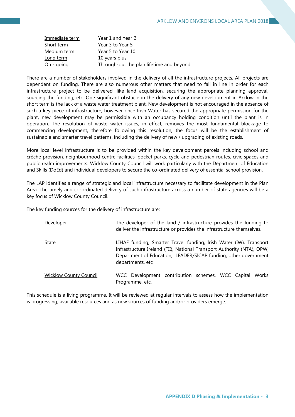| Immediate term | Year 1 and Year 2                        |
|----------------|------------------------------------------|
| Short term     | Year 3 to Year 5                         |
| Medium term    | Year 5 to Year 10                        |
| Long term      | 10 years plus                            |
| $On - going$   | Through-out the plan lifetime and beyond |

There are a number of stakeholders involved in the delivery of all the infrastructure projects. All projects are dependent on funding. There are also numerous other matters that need to fall in line in order for each infrastructure project to be delivered, like land acquisition, securing the appropriate planning approval, sourcing the funding, etc. One significant obstacle in the delivery of any new development in Arklow in the short term is the lack of a waste water treatment plant. New development is not encouraged in the absence of such a key piece of infrastructure; however once Irish Water has secured the appropriate permission for the plant, new development may be permissible with an occupancy holding condition until the plant is in operation. The resolution of waste water issues, in effect, removes the most fundamental blockage to commencing development, therefore following this resolution, the focus will be the establishment of sustainable and smarter travel patterns, including the delivery of new / upgrading of existing roads.

More local level infrastructure is to be provided within the key development parcels including school and crèche provision, neighbourhood centre facilities, pocket parks, cycle and pedestrian routes, civic spaces and public realm improvements. Wicklow County Council will work particularly with the Department of Education and Skills (DoEd) and individual developers to secure the co-ordinated delivery of essential school provision.

The LAP identifies a range of strategic and local infrastructure necessary to facilitate development in the Plan Area. The timely and co-ordinated delivery of such infrastructure across a number of state agencies will be a key focus of Wicklow County Council.

The key funding sources for the delivery of infrastructure are:

| Developer                     | The developer of the land / infrastructure provides the funding to<br>deliver the infrastructure or provides the infrastructure themselves.                                                                                         |
|-------------------------------|-------------------------------------------------------------------------------------------------------------------------------------------------------------------------------------------------------------------------------------|
| <b>State</b>                  | LIHAF funding, Smarter Travel funding, Irish Water (IW), Transport<br>Infrastructure Ireland (TII), National Transport Authority (NTA), OPW,<br>Department of Education, LEADER/SICAP funding, other government<br>departments, etc |
| <b>Wicklow County Council</b> | WCC Development contribution schemes, WCC Capital<br>Works<br>Programme, etc.                                                                                                                                                       |

This schedule is a living programme. It will be reviewed at regular intervals to assess how the implementation is progressing, available resources and as new sources of funding and/or providers emerge.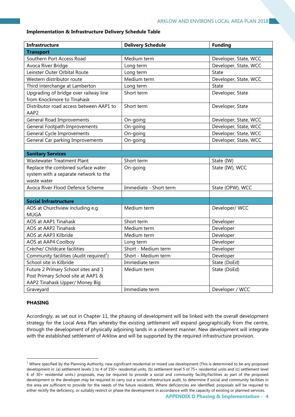### **Implementation & Infrastructure Delivery Schedule Table**

| <b>Infrastructure</b>                               | <b>Delivery Schedule</b> | <b>Funding</b>        |
|-----------------------------------------------------|--------------------------|-----------------------|
| <b>Transport</b>                                    |                          |                       |
| Southern Port Access Road                           | Medium term              | Developer, State, WCC |
| Avoca River Bridge                                  | Long term                | Developer, State, WCC |
| Leinster Outer Orbital Route                        | Long term                | <b>State</b>          |
| Western distributor route                           | Medium term              | Developer, State, WCC |
| Third interchange at Lamberton                      | Long term                | <b>State</b>          |
| Upgrading of bridge over railway line               | Short term               | Developer, State      |
| from Knockmore to Tinahask                          |                          |                       |
| Distributor road access between AAP1 to             | Short term               | Developer, State      |
| AAP2                                                |                          |                       |
| <b>General Road Improvements</b>                    | On-going                 | Developer, State, WCC |
| General Footpath Improvements                       | On-going                 | Developer, State, WCC |
| General Cycle Improvements                          | On-going                 | Developer, State, WCC |
| General Car parking Improvements                    | On-going                 | Developer, State, WCC |
|                                                     |                          |                       |
| <b>Sanitary Services</b>                            |                          |                       |
| <b>Wastewater Treatment Plant</b>                   | Short term               | State (IW)            |
| Replace the combined surface water                  | On-going                 | State (IW), WCC       |
| system with a separate network to the               |                          |                       |
| waste water                                         |                          |                       |
| Avoca River Flood Defence Scheme                    | Immediate - Short term   | State (OPW), WCC      |
|                                                     |                          |                       |
| <b>Social Infrastructure</b>                        |                          |                       |
| AOS at Churchview including e.g.                    | Medium term              | Developer/ WCC        |
| <b>MUGA</b>                                         |                          |                       |
| AOS at AAP1 Tinahask                                | Short term               | Developer             |
| AOS at AAP2 Tinahask                                | Medium term              | Developer             |
| AOS at AAP3 Kilbride                                | Medium term              | Developer             |
| AOS at AAP4 Coolboy                                 | Long term                | Developer             |
| Crèche/ Childcare facilities                        | Short - Medium term      | Developer             |
| Community facilities (Audit required <sup>1</sup> ) | Short - Medium term      | Developer             |
| School site in Kilbride                             | Immediate term           | State (DoEd)          |
| Future 2 Primary School sites and 1                 | Medium term              | State (DoEd)          |
| Post Primary School site at AAP1 &                  |                          |                       |
| AAP2 Tinahask Upper/ Money Big                      |                          |                       |
| Graveyard                                           | Immediate term           | Developer / WCC       |

## **PHASING**

 $\overline{a}$ 

Accordingly, as set out in Chapter 11, the phasing of development will be linked with the overall development strategy for the Local Area Plan whereby the existing settlement will expand geographically from the centre, through the development of physically adjoining lands in a coherent manner. New development will integrate with the established settlement of Arklow and will be supported by the required infrastructure provision.

 $1$  Where specified by the Planning Authority, new significant residential or mixed use development (This is determined to be any proposed development in: (a) settlement levels 1 to 4 of 150+ residential units, (b) settlement level 5 of 75+ residential units and (c) settlement level 6 of 30+ residential units.) proposals, may be required to provide a social and community facility/facilities as part of the proposed development or the developer may be required to carry out a social infrastructure audit, to determine if social and community facilities in the area are sufficient to provide for the needs of the future residents. Where deficiencies are identified, proposals will be required to either rectify the deficiency, or suitably restrict or phase the development in accordance with the capacity of existing or planned services.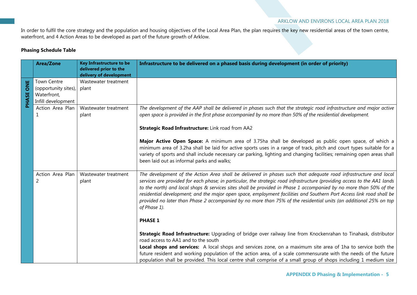#### ARKLOW AND ENVIRONS LOCAL AREA PLAN 2018

In order to fulfil the core strategy and the population and housing objectives of the Local Area Plan, the plan requires the key new residential areas of the town centre, waterfront, and 4 Action Areas to be developed as part of the future growth of Arklow.

## **Phasing Schedule Table**

|           | <b>Area/Zone</b>                                                                | <b>Key Infrastructure to be</b><br>delivered prior to the<br>delivery of development | Infrastructure to be delivered on a phased basis during development (in order of priority)                                                                                                                                                                                                                                                                                                                                                                                                                                                                                                                                       |
|-----------|---------------------------------------------------------------------------------|--------------------------------------------------------------------------------------|----------------------------------------------------------------------------------------------------------------------------------------------------------------------------------------------------------------------------------------------------------------------------------------------------------------------------------------------------------------------------------------------------------------------------------------------------------------------------------------------------------------------------------------------------------------------------------------------------------------------------------|
| PHASE ONE | <b>Town Centre</b><br>(opportunity sites),<br>Waterfront,<br>Infill development | Wastewater treatment<br>plant                                                        |                                                                                                                                                                                                                                                                                                                                                                                                                                                                                                                                                                                                                                  |
|           | Action Area Plan<br>1                                                           | Wastewater treatment<br>plant                                                        | The development of the AAP shall be delivered in phases such that the strategic road infrastructure and major active<br>open space is provided in the first phase accompanied by no more than 50% of the residential development.<br>Strategic Road Infrastructure: Link road from AA2                                                                                                                                                                                                                                                                                                                                           |
|           |                                                                                 |                                                                                      | Major Active Open Space: A minimum area of 3.75ha shall be developed as public open space, of which a<br>minimum area of 3.2ha shall be laid for active sports uses in a range of track, pitch and court types suitable for a<br>variety of sports and shall include necessary car parking, lighting and changing facilities; remaining open areas shall<br>been laid out as informal parks and walks;                                                                                                                                                                                                                           |
|           | Action Area Plan<br>2                                                           | Wastewater treatment<br>plant                                                        | The development of the Action Area shall be delivered in phases such that adequate road infrastructure and local<br>services are provided for each phase; in particular, the strategic road infrastructure (providing access to the AA1 lands<br>to the north) and local shops & services sites shall be provided in Phase 1 accompanied by no more than 50% of the<br>residential development; and the major open space, employment facilities and Southern Port Access link road shall be<br>provided no later than Phase 2 accompanied by no more than 75% of the residential units (an additional 25% on top<br>of Phase 1). |
|           |                                                                                 |                                                                                      | <b>PHASE 1</b>                                                                                                                                                                                                                                                                                                                                                                                                                                                                                                                                                                                                                   |
|           |                                                                                 |                                                                                      | Strategic Road Infrastructure: Upgrading of bridge over railway line from Knockenrahan to Tinahask, distributor<br>road access to AA1 and to the south                                                                                                                                                                                                                                                                                                                                                                                                                                                                           |
|           |                                                                                 |                                                                                      | Local shops and services: A local shops and services zone, on a maximum site area of 1ha to service both the<br>future resident and working population of the action area, of a scale commensurate with the needs of the future<br>population shall be provided. This local centre shall comprise of a small group of shops including 1 medium size                                                                                                                                                                                                                                                                              |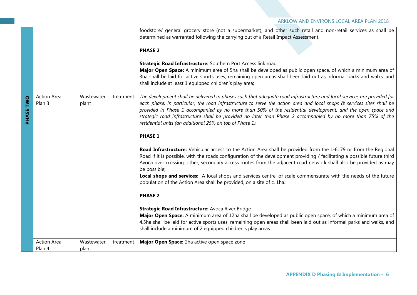|           |                              |                     |           | foodstore/ general grocery store (not a supermarket), and other such retail and non-retail services as shall be<br>determined as warranted following the carrying out of a Retail Impact Assessment.<br><b>PHASE 2</b><br>Strategic Road Infrastructure: Southern Port Access link road<br>Major Open Space: A minimum area of 5ha shall be developed as public open space, of which a minimum area of<br>3ha shall be laid for active sports uses; remaining open areas shall been laid out as informal parks and walks, and<br>shall include at least 1 equipped children's play area;                                                                                                                                                                                                                                                                                                                                                                                                                                                                                                                                                                                                                                                                                                                                                                                                                                                                                                                                    |
|-----------|------------------------------|---------------------|-----------|-----------------------------------------------------------------------------------------------------------------------------------------------------------------------------------------------------------------------------------------------------------------------------------------------------------------------------------------------------------------------------------------------------------------------------------------------------------------------------------------------------------------------------------------------------------------------------------------------------------------------------------------------------------------------------------------------------------------------------------------------------------------------------------------------------------------------------------------------------------------------------------------------------------------------------------------------------------------------------------------------------------------------------------------------------------------------------------------------------------------------------------------------------------------------------------------------------------------------------------------------------------------------------------------------------------------------------------------------------------------------------------------------------------------------------------------------------------------------------------------------------------------------------|
| PHASE TWO | <b>Action Area</b><br>Plan 3 | Wastewater<br>plant | treatment | The development shall be delivered in phases such that adequate road infrastructure and local services are provided for<br>each phase; in particular, the road infrastructure to serve the action area and local shops & services sites shall be<br>provided in Phase 1 accompanied by no more than 50% of the residential development; and the open space and<br>strategic road infrastructure shall be provided no later than Phase 2 accompanied by no more than 75% of the<br>residential units (an additional 25% on top of Phase 1).<br><b>PHASE 1</b><br>Road Infrastructure: Vehicular access to the Action Area shall be provided from the L-6179 or from the Regional<br>Road if it is possible, with the roads configuration of the development providing / facilitating a possible future third<br>Avoca river crossing; other, secondary access routes from the adjacent road network shall also be provided as may<br>be possible;<br>Local shops and services: A local shops and services centre, of scale commensurate with the needs of the future<br>population of the Action Area shall be provided, on a site of c. 1ha.<br><b>PHASE 2</b><br>Strategic Road Infrastructure: Avoca River Bridge<br>Major Open Space: A minimum area of 12ha shall be developed as public open space, of which a minimum area of<br>4.5ha shall be laid for active sports uses; remaining open areas shall been laid out as informal parks and walks, and<br>shall include a minimum of 2 equipped children's play areas |
|           | <b>Action Area</b><br>Plan 4 | Wastewater<br>plant | treatment | Major Open Space: 2ha active open space zone                                                                                                                                                                                                                                                                                                                                                                                                                                                                                                                                                                                                                                                                                                                                                                                                                                                                                                                                                                                                                                                                                                                                                                                                                                                                                                                                                                                                                                                                                |